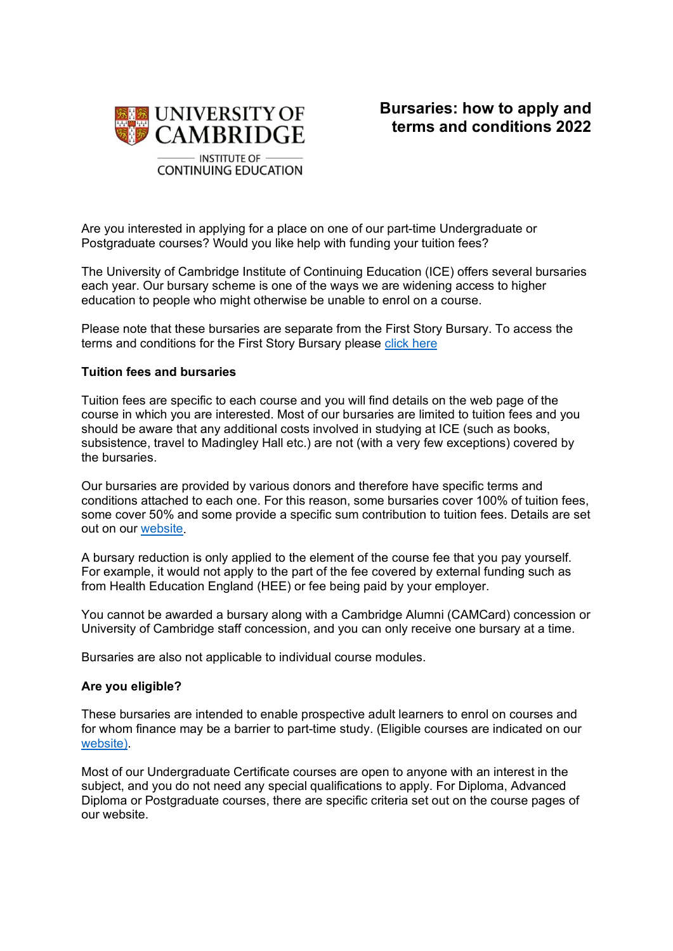

Are you interested in applying for a place on one of our part-time Undergraduate or Postgraduate courses? Would you like help with funding your tuition fees?

The University of Cambridge Institute of Continuing Education (ICE) offers several bursaries each year. Our bursary scheme is one of the ways we are widening access to higher education to people who might otherwise be unable to enrol on a course.

Please note that these bursaries are separate from the First Story Bursary. To access the terms and conditions for the First Story Bursary please [click here](https://www.ice.cam.ac.uk/files/postgraduate_certificate_in_teaching_creative_writing_-_ts_and_cs_2022_final.pdf)

## **Tuition fees and bursaries**

Tuition fees are specific to each course and you will find details on the web page of the course in which you are interested. Most of our bursaries are limited to tuition fees and you should be aware that any additional costs involved in studying at ICE (such as books, subsistence, travel to Madingley Hall etc.) are not (with a very few exceptions) covered by the bursaries.

Our bursaries are provided by various donors and therefore have specific terms and conditions attached to each one. For this reason, some bursaries cover 100% of tuition fees, some cover 50% and some provide a specific sum contribution to tuition fees. Details are set out on our [website.](https://www.ice.cam.ac.uk/bursaries/bursaries-and-concessions-available)

A bursary reduction is only applied to the element of the course fee that you pay yourself. For example, it would not apply to the part of the fee covered by external funding such as from Health Education England (HEE) or fee being paid by your employer.

You cannot be awarded a bursary along with a Cambridge Alumni (CAMCard) concession or University of Cambridge staff concession, and you can only receive one bursary at a time.

Bursaries are also not applicable to individual course modules.

## **Are you eligible?**

These bursaries are intended to enable prospective adult learners to enrol on courses and for whom finance may be a barrier to part-time study. (Eligible courses are indicated on our [website\)](https://www.ice.cam.ac.uk/bursaries/bursaries-and-concessions-available).

Most of our Undergraduate Certificate courses are open to anyone with an interest in the subject, and you do not need any special qualifications to apply. For Diploma, Advanced Diploma or Postgraduate courses, there are specific criteria set out on the course pages of our website.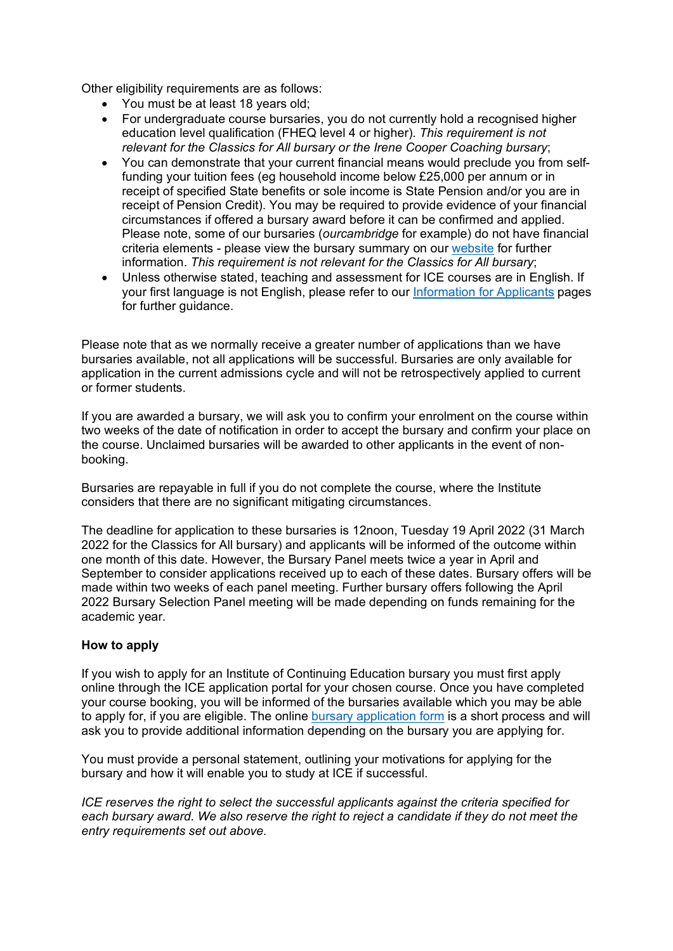Other eligibility requirements are as follows:

- You must be at least 18 years old;
- For undergraduate course bursaries, you do not currently hold a recognised higher education level qualification (FHEQ level 4 or higher). *This requirement is not relevant for the Classics for All bursary or the Irene Cooper Coaching bursary*;
- You can demonstrate that your current financial means would preclude you from selffunding your tuition fees (eg household income below £25,000 per annum or in receipt of specified State benefits or sole income is State Pension and/or you are in receipt of Pension Credit). You may be required to provide evidence of your financial circumstances if offered a bursary award before it can be confirmed and applied. Please note, some of our bursaries (*ourcambridge* for example) do not have financial criteria elements - please view the bursary summary on our [website](https://www.ice.cam.ac.uk/bursaries/bursaries-and-concessions-available) for further information. *This requirement is not relevant for the Classics for All bursary*;
- Unless otherwise stated, teaching and assessment for ICE courses are in English. If your first language is not English, please refer to our [Information for Applicants](https://www.ice.cam.ac.uk/info-for-applicants) pages for further guidance.

Please note that as we normally receive a greater number of applications than we have bursaries available, not all applications will be successful. Bursaries are only available for application in the current admissions cycle and will not be retrospectively applied to current or former students.

If you are awarded a bursary, we will ask you to confirm your enrolment on the course within two weeks of the date of notification in order to accept the bursary and confirm your place on the course. Unclaimed bursaries will be awarded to other applicants in the event of nonbooking.

Bursaries are repayable in full if you do not complete the course, where the Institute considers that there are no significant mitigating circumstances.

The deadline for application to these bursaries is 12noon, Tuesday 19 April 2022 (31 March 2022 for the Classics for All bursary) and applicants will be informed of the outcome within one month of this date. However, the Bursary Panel meets twice a year in April and September to consider applications received up to each of these dates. Bursary offers will be made within two weeks of each panel meeting. Further bursary offers following the April 2022 Bursary Selection Panel meeting will be made depending on funds remaining for the academic year.

## **How to apply**

If you wish to apply for an Institute of Continuing Education bursary you must first apply online through the ICE application portal for your chosen course. Once you have completed your course booking, you will be informed of the bursaries available which you may be able to apply for, if you are eligible. The online [bursary application form](https://www.ice.cam.ac.uk/bursary-application) is a short process and will ask you to provide additional information depending on the bursary you are applying for.

You must provide a personal statement, outlining your motivations for applying for the bursary and how it will enable you to study at ICE if successful.

*ICE reserves the right to select the successful applicants against the criteria specified for each bursary award. We also reserve the right to reject a candidate if they do not meet the entry requirements set out above.*